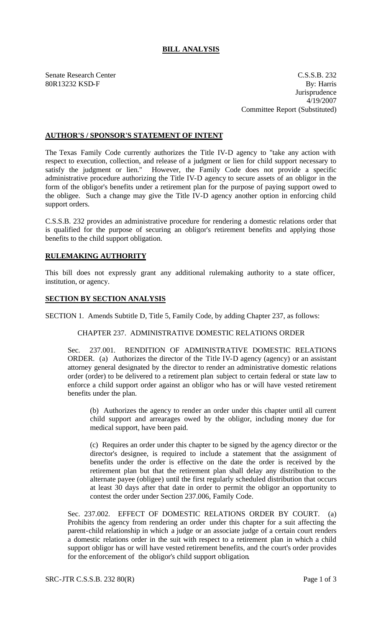# **BILL ANALYSIS**

Senate Research Center C.S.S.B. 232 80R13232 KSD-F By: Harris **Jurisprudence** 4/19/2007 Committee Report (Substituted)

## **AUTHOR'S / SPONSOR'S STATEMENT OF INTENT**

The Texas Family Code currently authorizes the Title IV-D agency to "take any action with respect to execution, collection, and release of a judgment or lien for child support necessary to satisfy the judgment or lien." However, the Family Code does not provide a specific administrative procedure authorizing the Title IV-D agency to secure assets of an obligor in the form of the obligor's benefits under a retirement plan for the purpose of paying support owed to the obligee. Such a change may give the Title IV-D agency another option in enforcing child support orders.

C.S.S.B. 232 provides an administrative procedure for rendering a domestic relations order that is qualified for the purpose of securing an obligor's retirement benefits and applying those benefits to the child support obligation.

### **RULEMAKING AUTHORITY**

This bill does not expressly grant any additional rulemaking authority to a state officer, institution, or agency.

#### **SECTION BY SECTION ANALYSIS**

SECTION 1. Amends Subtitle D, Title 5, Family Code, by adding Chapter 237, as follows:

### CHAPTER 237. ADMINISTRATIVE DOMESTIC RELATIONS ORDER

Sec. 237.001. RENDITION OF ADMINISTRATIVE DOMESTIC RELATIONS ORDER. (a) Authorizes the director of the Title IV-D agency (agency) or an assistant attorney general designated by the director to render an administrative domestic relations order (order) to be delivered to a retirement plan subject to certain federal or state law to enforce a child support order against an obligor who has or will have vested retirement benefits under the plan.

(b) Authorizes the agency to render an order under this chapter until all current child support and arrearages owed by the obligor, including money due for medical support, have been paid.

(c) Requires an order under this chapter to be signed by the agency director or the director's designee, is required to include a statement that the assignment of benefits under the order is effective on the date the order is received by the retirement plan but that the retirement plan shall delay any distribution to the alternate payee (obligee) until the first regularly scheduled distribution that occurs at least 30 days after that date in order to permit the obligor an opportunity to contest the order under Section 237.006, Family Code.

Sec. 237.002. EFFECT OF DOMESTIC RELATIONS ORDER BY COURT. (a) Prohibits the agency from rendering an order under this chapter for a suit affecting the parent-child relationship in which a judge or an associate judge of a certain court renders a domestic relations order in the suit with respect to a retirement plan in which a child support obligor has or will have vested retirement benefits, and the court's order provides for the enforcement of the obligor's child support obligation.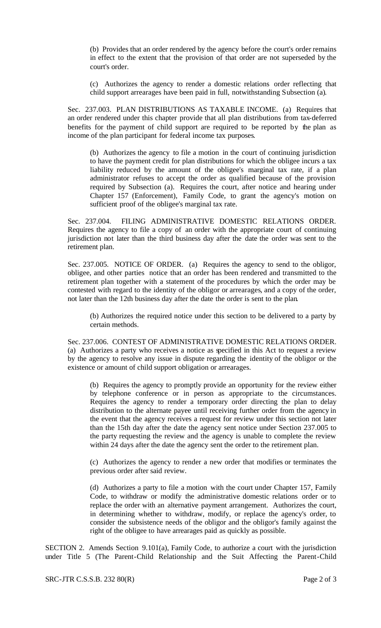(b) Provides that an order rendered by the agency before the court's order remains in effect to the extent that the provision of that order are not superseded by the court's order.

(c) Authorizes the agency to render a domestic relations order reflecting that child support arrearages have been paid in full, notwithstanding Subsection (a).

Sec. 237.003. PLAN DISTRIBUTIONS AS TAXABLE INCOME. (a) Requires that an order rendered under this chapter provide that all plan distributions from tax-deferred benefits for the payment of child support are required to be reported by the plan as income of the plan participant for federal income tax purposes.

(b) Authorizes the agency to file a motion in the court of continuing jurisdiction to have the payment credit for plan distributions for which the obligee incurs a tax liability reduced by the amount of the obligee's marginal tax rate, if a plan administrator refuses to accept the order as qualified because of the provision required by Subsection (a). Requires the court, after notice and hearing under Chapter 157 (Enforcement), Family Code, to grant the agency's motion on sufficient proof of the obligee's marginal tax rate.

Sec. 237.004. FILING ADMINISTRATIVE DOMESTIC RELATIONS ORDER. Requires the agency to file a copy of an order with the appropriate court of continuing jurisdiction not later than the third business day after the date the order was sent to the retirement plan.

Sec. 237.005. NOTICE OF ORDER. (a) Requires the agency to send to the obligor, obligee, and other parties notice that an order has been rendered and transmitted to the retirement plan together with a statement of the procedures by which the order may be contested with regard to the identity of the obligor or arrearages, and a copy of the order, not later than the 12th business day after the date the order is sent to the plan.

(b) Authorizes the required notice under this section to be delivered to a party by certain methods.

Sec. 237.006. CONTEST OF ADMINISTRATIVE DOMESTIC RELATIONS ORDER. (a) Authorizes a party who receives a notice as specified in this Act to request a review by the agency to resolve any issue in dispute regarding the identity of the obligor or the existence or amount of child support obligation or arrearages.

(b) Requires the agency to promptly provide an opportunity for the review either by telephone conference or in person as appropriate to the circumstances. Requires the agency to render a temporary order directing the plan to delay distribution to the alternate payee until receiving further order from the agency in the event that the agency receives a request for review under this section not later than the 15th day after the date the agency sent notice under Section 237.005 to the party requesting the review and the agency is unable to complete the review within 24 days after the date the agency sent the order to the retirement plan.

(c) Authorizes the agency to render a new order that modifies or terminates the previous order after said review.

(d) Authorizes a party to file a motion with the court under Chapter 157, Family Code, to withdraw or modify the administrative domestic relations order or to replace the order with an alternative payment arrangement. Authorizes the court, in determining whether to withdraw, modify, or replace the agency's order, to consider the subsistence needs of the obligor and the obligor's family against the right of the obligee to have arrearages paid as quickly as possible.

SECTION 2. Amends Section 9.101(a), Family Code, to authorize a court with the jurisdiction under Title 5 (The Parent-Child Relationship and the Suit Affecting the Parent-Child